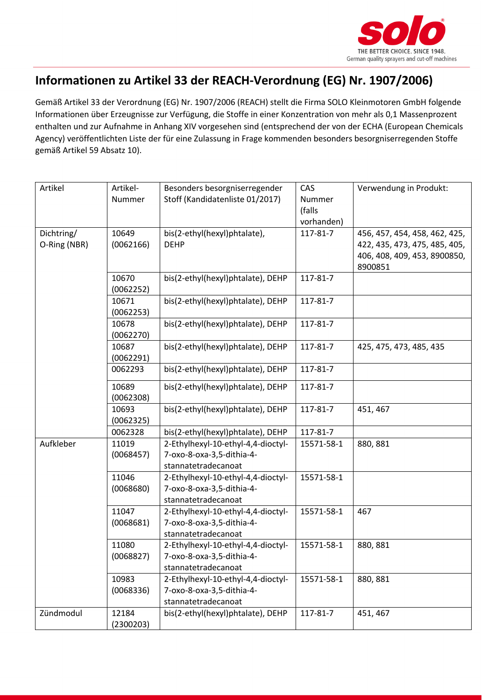

## **Informationen zu Artikel 33 der REACH-Verordnung (EG) Nr. 1907/2006)**

Gemäß Artikel 33 der Verordnung (EG) Nr. 1907/2006 (REACH) stellt die Firma SOLO Kleinmotoren GmbH folgende Informationen über Erzeugnisse zur Verfügung, die Stoffe in einer Konzentration von mehr als 0,1 Massenprozent enthalten und zur Aufnahme in Anhang XIV vorgesehen sind (entsprechend der von der ECHA (European Chemicals Agency) veröffentlichten Liste der für eine Zulassung in Frage kommenden besonders besorgniserregenden Stoffe gemäß Artikel 59 Absatz 10).

| Artikel      | Artikel-<br>Nummer | Besonders besorgniserregender<br>Stoff (Kandidatenliste 01/2017)                       | CAS<br>Nummer          | Verwendung in Produkt:                                                   |
|--------------|--------------------|----------------------------------------------------------------------------------------|------------------------|--------------------------------------------------------------------------|
|              |                    |                                                                                        | (falls                 |                                                                          |
| Dichtring/   | 10649              | bis(2-ethyl(hexyl)phtalate),                                                           | vorhanden)<br>117-81-7 | 456, 457, 454, 458, 462, 425,                                            |
| O-Ring (NBR) | (0062166)          | <b>DEHP</b>                                                                            |                        | 422, 435, 473, 475, 485, 405,<br>406, 408, 409, 453, 8900850,<br>8900851 |
|              | 10670<br>(0062252) | bis(2-ethyl(hexyl)phtalate), DEHP                                                      | 117-81-7               |                                                                          |
|              | 10671<br>(0062253) | bis(2-ethyl(hexyl)phtalate), DEHP                                                      | 117-81-7               |                                                                          |
|              | 10678<br>(0062270) | bis(2-ethyl(hexyl)phtalate), DEHP                                                      | 117-81-7               |                                                                          |
|              | 10687<br>(0062291) | bis(2-ethyl(hexyl)phtalate), DEHP                                                      | 117-81-7               | 425, 475, 473, 485, 435                                                  |
|              | 0062293            | bis(2-ethyl(hexyl)phtalate), DEHP                                                      | 117-81-7               |                                                                          |
|              | 10689<br>(0062308) | bis(2-ethyl(hexyl)phtalate), DEHP                                                      | 117-81-7               |                                                                          |
|              | 10693<br>(0062325) | bis(2-ethyl(hexyl)phtalate), DEHP                                                      | 117-81-7               | 451, 467                                                                 |
|              | 0062328            | bis(2-ethyl(hexyl)phtalate), DEHP                                                      | 117-81-7               |                                                                          |
| Aufkleber    | 11019<br>(0068457) | 2-Ethylhexyl-10-ethyl-4,4-dioctyl-<br>7-oxo-8-oxa-3,5-dithia-4-<br>stannatetradecanoat | 15571-58-1             | 880, 881                                                                 |
|              | 11046<br>(0068680) | 2-Ethylhexyl-10-ethyl-4,4-dioctyl-<br>7-oxo-8-oxa-3,5-dithia-4-<br>stannatetradecanoat | 15571-58-1             |                                                                          |
|              | 11047<br>(0068681) | 2-Ethylhexyl-10-ethyl-4,4-dioctyl-<br>7-oxo-8-oxa-3,5-dithia-4-<br>stannatetradecanoat | 15571-58-1             | 467                                                                      |
|              | 11080              | 2-Ethylhexyl-10-ethyl-4,4-dioctyl-                                                     | 15571-58-1             | 880, 881                                                                 |
|              | (0068827)          | 7-oxo-8-oxa-3,5-dithia-4-<br>stannatetradecanoat                                       |                        |                                                                          |
|              | 10983<br>(0068336) | 2-Ethylhexyl-10-ethyl-4,4-dioctyl-<br>7-oxo-8-oxa-3,5-dithia-4-<br>stannatetradecanoat | 15571-58-1             | 880, 881                                                                 |
| Zündmodul    | 12184<br>(2300203) | bis(2-ethyl(hexyl)phtalate), DEHP                                                      | 117-81-7               | 451, 467                                                                 |